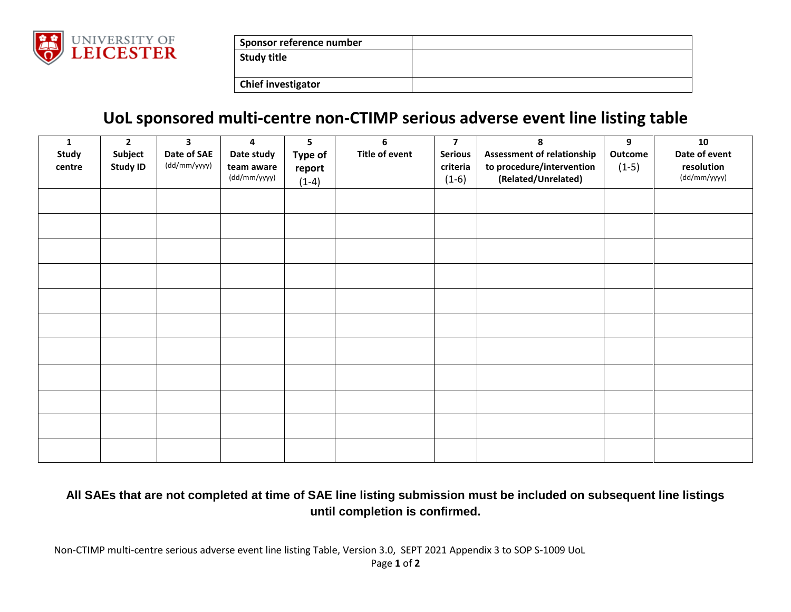

| Sponsor reference number  |  |
|---------------------------|--|
| Study title               |  |
|                           |  |
| <b>Chief investigator</b> |  |

## **UoL sponsored multi-centre non-CTIMP serious adverse event line listing table**

| 1<br>Study<br>centre | $\overline{2}$<br>Subject<br><b>Study ID</b> | $\overline{\mathbf{3}}$<br>Date of SAE<br>(dd/mm/yyyy) | 4<br>Date study<br>team aware | 5<br>Type of      | 6<br>Title of event | $\overline{\mathbf{z}}$<br><b>Serious</b><br>criteria | 8<br><b>Assessment of relationship</b><br>to procedure/intervention | 9<br>Outcome<br>$(1-5)$ | 10<br>Date of event<br>resolution |
|----------------------|----------------------------------------------|--------------------------------------------------------|-------------------------------|-------------------|---------------------|-------------------------------------------------------|---------------------------------------------------------------------|-------------------------|-----------------------------------|
|                      |                                              |                                                        | (dd/mm/yyyy)                  | report<br>$(1-4)$ |                     | $(1-6)$                                               | (Related/Unrelated)                                                 |                         | (dd/mm/yyyy)                      |
|                      |                                              |                                                        |                               |                   |                     |                                                       |                                                                     |                         |                                   |
|                      |                                              |                                                        |                               |                   |                     |                                                       |                                                                     |                         |                                   |
|                      |                                              |                                                        |                               |                   |                     |                                                       |                                                                     |                         |                                   |
|                      |                                              |                                                        |                               |                   |                     |                                                       |                                                                     |                         |                                   |
|                      |                                              |                                                        |                               |                   |                     |                                                       |                                                                     |                         |                                   |
|                      |                                              |                                                        |                               |                   |                     |                                                       |                                                                     |                         |                                   |
|                      |                                              |                                                        |                               |                   |                     |                                                       |                                                                     |                         |                                   |
|                      |                                              |                                                        |                               |                   |                     |                                                       |                                                                     |                         |                                   |
|                      |                                              |                                                        |                               |                   |                     |                                                       |                                                                     |                         |                                   |
|                      |                                              |                                                        |                               |                   |                     |                                                       |                                                                     |                         |                                   |
|                      |                                              |                                                        |                               |                   |                     |                                                       |                                                                     |                         |                                   |

## **All SAEs that are not completed at time of SAE line listing submission must be included on subsequent line listings until completion is confirmed.**

Non-CTIMP multi-centre serious adverse event line listing Table, Version 3.0, SEPT 2021 Appendix 3 to SOP S-1009 UoL